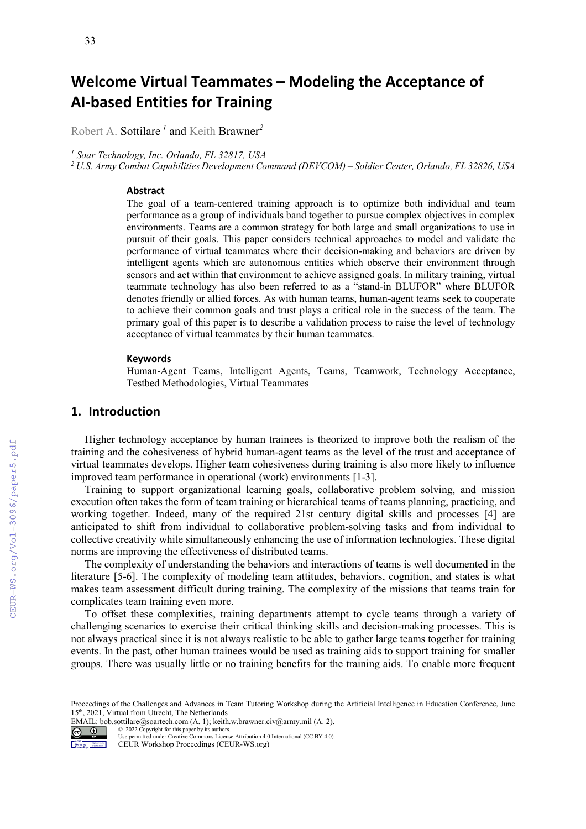# **Welcome Virtual Teammates – Modeling the Acceptance of AI-based Entities for Training**

Robert A. Sottilare *<sup>1</sup>* and Keith Brawner*<sup>2</sup>*

*<sup>1</sup> Soar Technology, Inc. Orlando, FL 32817, USA* 

*<sup>2</sup> U.S. Army Combat Capabilities Development Command (DEVCOM) – Soldier Center, Orlando, FL 32826, USA*

#### **Abstract**

The goal of a team-centered training approach is to optimize both individual and team performance as a group of individuals band together to pursue complex objectives in complex environments. Teams are a common strategy for both large and small organizations to use in pursuit of their goals. This paper considers technical approaches to model and validate the performance of virtual teammates where their decision-making and behaviors are driven by intelligent agents which are autonomous entities which observe their environment through sensors and act within that environment to achieve assigned goals. In military training, virtual teammate technology has also been referred to as a "stand-in BLUFOR" where BLUFOR denotes friendly or allied forces. As with human teams, human-agent teams seek to cooperate to achieve their common goals and trust plays a critical role in the success of the team. The primary goal of this paper is to describe a validation process to raise the level of technology acceptance of virtual teammates by their human teammates.

#### **Keywords**

Human-Agent Teams, Intelligent Agents, Teams, Teamwork, Technology Acceptance, Testbed Methodologies, Virtual Teammates [1](#page-0-0)

## **1. Introduction**

Higher technology acceptance by human trainees is theorized to improve both the realism of the training and the cohesiveness of hybrid human-agent teams as the level of the trust and acceptance of virtual teammates develops. Higher team cohesiveness during training is also more likely to influence improved team performance in operational (work) environments [1-3].

Training to support organizational learning goals, collaborative problem solving, and mission execution often takes the form of team training or hierarchical teams of teams planning, practicing, and working together. Indeed, many of the required 21st century digital skills and processes [4] are anticipated to shift from individual to collaborative problem-solving tasks and from individual to collective creativity while simultaneously enhancing the use of information technologies. These digital norms are improving the effectiveness of distributed teams.

The complexity of understanding the behaviors and interactions of teams is well documented in the literature [5-6]. The complexity of modeling team attitudes, behaviors, cognition, and states is what makes team assessment difficult during training. The complexity of the missions that teams train for complicates team training even more.

To offset these complexities, training departments attempt to cycle teams through a variety of challenging scenarios to exercise their critical thinking skills and decision-making processes. This is not always practical since it is not always realistic to be able to gather large teams together for training events. In the past, other human trainees would be used as training aids to support training for smaller groups. There was usually little or no training benefits for the training aids. To enable more frequent

EMAIL: bob.sottilare@soartech.com (A. 1); keith.w.brawner.civ@army.mil (A. 2).



© 2022 Copyright for this paper by its authors. Use permitted under Creative Commons License Attribution 4.0 International (CC BY 4.0).

CEUR Workshop Proceedings (CEUR-WS.org)

<span id="page-0-0"></span>Proceedings of the Challenges and Advances in Team Tutoring Workshop during the Artificial Intelligence in Education Conference, June 15th, 2021, Virtual from Utrecht, The Netherlands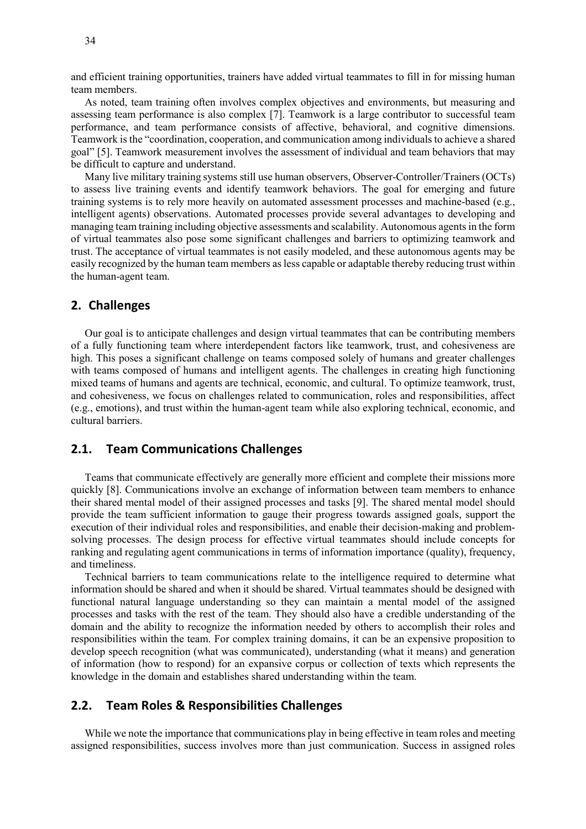and efficient training opportunities, trainers have added virtual teammates to fill in for missing human team members.

As noted, team training often involves complex objectives and environments, but measuring and assessing team performance is also complex [7]. Teamwork is a large contributor to successful team performance, and team performance consists of affective, behavioral, and cognitive dimensions. Teamwork is the "coordination, cooperation, and communication among individuals to achieve a shared goal" [5]. Teamwork measurement involves the assessment of individual and team behaviors that may be difficult to capture and understand.

Many live military training systems still use human observers, Observer-Controller/Trainers (OCTs) to assess live training events and identify teamwork behaviors. The goal for emerging and future training systems is to rely more heavily on automated assessment processes and machine-based (e.g., intelligent agents) observations. Automated processes provide several advantages to developing and managing team training including objective assessments and scalability. Autonomous agents in the form of virtual teammates also pose some significant challenges and barriers to optimizing teamwork and trust. The acceptance of virtual teammates is not easily modeled, and these autonomous agents may be easily recognized by the human team members as less capable or adaptable thereby reducing trust within the human-agent team.

### **2. Challenges**

Our goal is to anticipate challenges and design virtual teammates that can be contributing members of a fully functioning team where interdependent factors like teamwork, trust, and cohesiveness are high. This poses a significant challenge on teams composed solely of humans and greater challenges with teams composed of humans and intelligent agents. The challenges in creating high functioning mixed teams of humans and agents are technical, economic, and cultural. To optimize teamwork, trust, and cohesiveness, we focus on challenges related to communication, roles and responsibilities, affect (e.g., emotions), and trust within the human-agent team while also exploring technical, economic, and cultural barriers.

## **2.1. Team Communications Challenges**

Teams that communicate effectively are generally more efficient and complete their missions more quickly [8]. Communications involve an exchange of information between team members to enhance their shared mental model of their assigned processes and tasks [9]. The shared mental model should provide the team sufficient information to gauge their progress towards assigned goals, support the execution of their individual roles and responsibilities, and enable their decision-making and problemsolving processes. The design process for effective virtual teammates should include concepts for ranking and regulating agent communications in terms of information importance (quality), frequency, and timeliness.

Technical barriers to team communications relate to the intelligence required to determine what information should be shared and when it should be shared. Virtual teammates should be designed with functional natural language understanding so they can maintain a mental model of the assigned processes and tasks with the rest of the team. They should also have a credible understanding of the domain and the ability to recognize the information needed by others to accomplish their roles and responsibilities within the team. For complex training domains, it can be an expensive proposition to develop speech recognition (what was communicated), understanding (what it means) and generation of information (how to respond) for an expansive corpus or collection of texts which represents the knowledge in the domain and establishes shared understanding within the team.

## **2.2. Team Roles & Responsibilities Challenges**

While we note the importance that communications play in being effective in team roles and meeting assigned responsibilities, success involves more than just communication. Success in assigned roles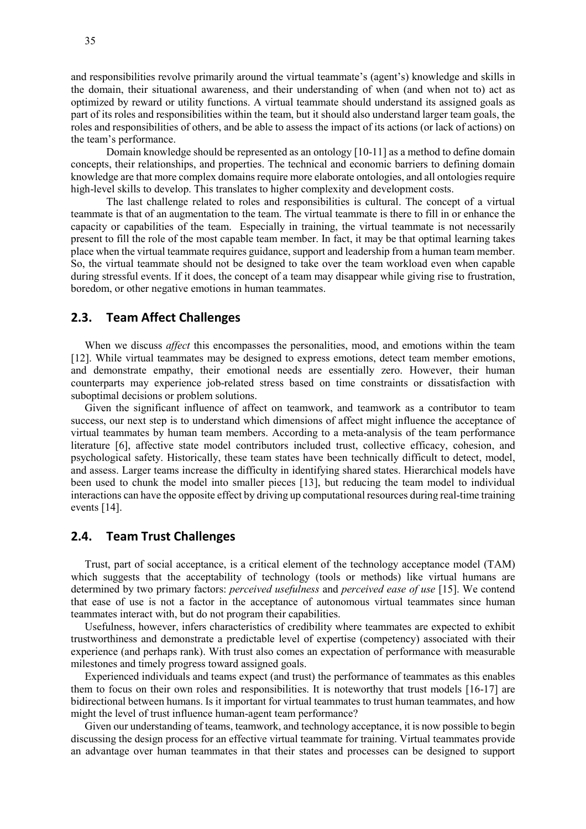and responsibilities revolve primarily around the virtual teammate's (agent's) knowledge and skills in the domain, their situational awareness, and their understanding of when (and when not to) act as optimized by reward or utility functions. A virtual teammate should understand its assigned goals as part of its roles and responsibilities within the team, but it should also understand larger team goals, the roles and responsibilities of others, and be able to assess the impact of its actions (or lack of actions) on the team's performance.

Domain knowledge should be represented as an ontology [10-11] as a method to define domain concepts, their relationships, and properties. The technical and economic barriers to defining domain knowledge are that more complex domains require more elaborate ontologies, and all ontologies require high-level skills to develop. This translates to higher complexity and development costs.

The last challenge related to roles and responsibilities is cultural. The concept of a virtual teammate is that of an augmentation to the team. The virtual teammate is there to fill in or enhance the capacity or capabilities of the team. Especially in training, the virtual teammate is not necessarily present to fill the role of the most capable team member. In fact, it may be that optimal learning takes place when the virtual teammate requires guidance, support and leadership from a human team member. So, the virtual teammate should not be designed to take over the team workload even when capable during stressful events. If it does, the concept of a team may disappear while giving rise to frustration, boredom, or other negative emotions in human teammates.

## **2.3. Team Affect Challenges**

When we discuss *affect* this encompasses the personalities, mood, and emotions within the team [12]. While virtual teammates may be designed to express emotions, detect team member emotions, and demonstrate empathy, their emotional needs are essentially zero. However, their human counterparts may experience job-related stress based on time constraints or dissatisfaction with suboptimal decisions or problem solutions.

Given the significant influence of affect on teamwork, and teamwork as a contributor to team success, our next step is to understand which dimensions of affect might influence the acceptance of virtual teammates by human team members. According to a meta-analysis of the team performance literature [6], affective state model contributors included trust, collective efficacy, cohesion, and psychological safety. Historically, these team states have been technically difficult to detect, model, and assess. Larger teams increase the difficulty in identifying shared states. Hierarchical models have been used to chunk the model into smaller pieces [13], but reducing the team model to individual interactions can have the opposite effect by driving up computational resources during real-time training events [14].

## **2.4. Team Trust Challenges**

Trust, part of social acceptance, is a critical element of the technology acceptance model (TAM) which suggests that the acceptability of technology (tools or methods) like virtual humans are determined by two primary factors: *perceived usefulness* and *perceived ease of use* [15]. We contend that ease of use is not a factor in the acceptance of autonomous virtual teammates since human teammates interact with, but do not program their capabilities.

Usefulness, however, infers characteristics of credibility where teammates are expected to exhibit trustworthiness and demonstrate a predictable level of expertise (competency) associated with their experience (and perhaps rank). With trust also comes an expectation of performance with measurable milestones and timely progress toward assigned goals.

Experienced individuals and teams expect (and trust) the performance of teammates as this enables them to focus on their own roles and responsibilities. It is noteworthy that trust models [16-17] are bidirectional between humans. Is it important for virtual teammates to trust human teammates, and how might the level of trust influence human-agent team performance?

Given our understanding of teams, teamwork, and technology acceptance, it is now possible to begin discussing the design process for an effective virtual teammate for training. Virtual teammates provide an advantage over human teammates in that their states and processes can be designed to support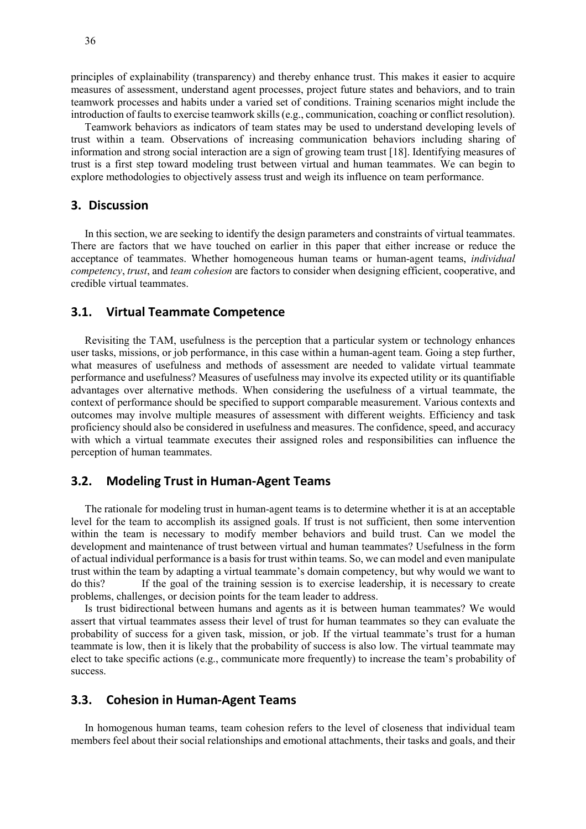principles of explainability (transparency) and thereby enhance trust. This makes it easier to acquire measures of assessment, understand agent processes, project future states and behaviors, and to train teamwork processes and habits under a varied set of conditions. Training scenarios might include the introduction of faults to exercise teamwork skills (e.g., communication, coaching or conflict resolution).

Teamwork behaviors as indicators of team states may be used to understand developing levels of trust within a team. Observations of increasing communication behaviors including sharing of information and strong social interaction are a sign of growing team trust [18]. Identifying measures of trust is a first step toward modeling trust between virtual and human teammates. We can begin to explore methodologies to objectively assess trust and weigh its influence on team performance.

## **3. Discussion**

In this section, we are seeking to identify the design parameters and constraints of virtual teammates. There are factors that we have touched on earlier in this paper that either increase or reduce the acceptance of teammates. Whether homogeneous human teams or human-agent teams, *individual competency*, *trust*, and *team cohesion* are factors to consider when designing efficient, cooperative, and credible virtual teammates.

#### **3.1. Virtual Teammate Competence**

Revisiting the TAM, usefulness is the perception that a particular system or technology enhances user tasks, missions, or job performance, in this case within a human-agent team. Going a step further, what measures of usefulness and methods of assessment are needed to validate virtual teammate performance and usefulness? Measures of usefulness may involve its expected utility or its quantifiable advantages over alternative methods. When considering the usefulness of a virtual teammate, the context of performance should be specified to support comparable measurement. Various contexts and outcomes may involve multiple measures of assessment with different weights. Efficiency and task proficiency should also be considered in usefulness and measures. The confidence, speed, and accuracy with which a virtual teammate executes their assigned roles and responsibilities can influence the perception of human teammates.

## **3.2. Modeling Trust in Human-Agent Teams**

The rationale for modeling trust in human-agent teams is to determine whether it is at an acceptable level for the team to accomplish its assigned goals. If trust is not sufficient, then some intervention within the team is necessary to modify member behaviors and build trust. Can we model the development and maintenance of trust between virtual and human teammates? Usefulness in the form of actual individual performance is a basis for trust within teams. So, we can model and even manipulate trust within the team by adapting a virtual teammate's domain competency, but why would we want to do this? If the goal of the training session is to exercise leadership, it is necessary to create problems, challenges, or decision points for the team leader to address.

Is trust bidirectional between humans and agents as it is between human teammates? We would assert that virtual teammates assess their level of trust for human teammates so they can evaluate the probability of success for a given task, mission, or job. If the virtual teammate's trust for a human teammate is low, then it is likely that the probability of success is also low. The virtual teammate may elect to take specific actions (e.g., communicate more frequently) to increase the team's probability of success.

### **3.3. Cohesion in Human-Agent Teams**

In homogenous human teams, team cohesion refers to the level of closeness that individual team members feel about their social relationships and emotional attachments, their tasks and goals, and their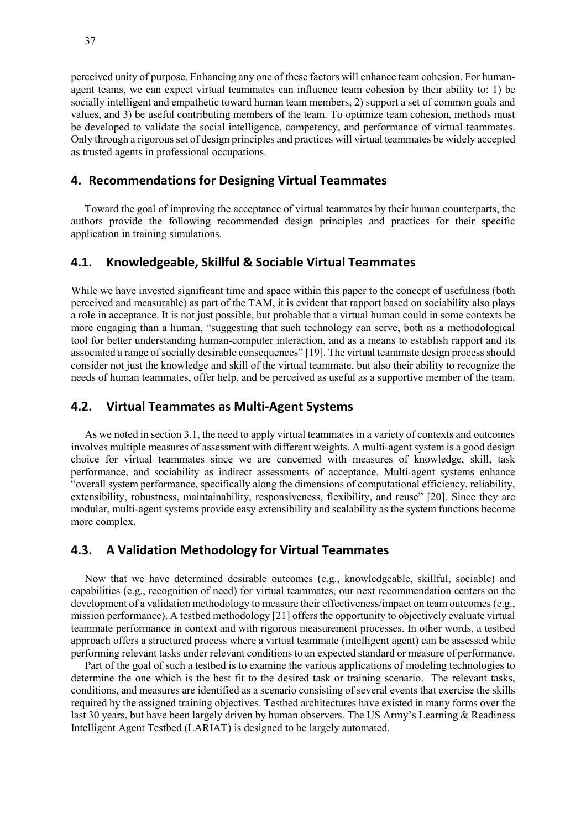perceived unity of purpose. Enhancing any one of these factors will enhance team cohesion. For humanagent teams, we can expect virtual teammates can influence team cohesion by their ability to: 1) be socially intelligent and empathetic toward human team members, 2) support a set of common goals and values, and 3) be useful contributing members of the team. To optimize team cohesion, methods must be developed to validate the social intelligence, competency, and performance of virtual teammates. Only through a rigorous set of design principles and practices will virtual teammates be widely accepted as trusted agents in professional occupations.

## **4. Recommendations for Designing Virtual Teammates**

Toward the goal of improving the acceptance of virtual teammates by their human counterparts, the authors provide the following recommended design principles and practices for their specific application in training simulations.

## **4.1. Knowledgeable, Skillful & Sociable Virtual Teammates**

While we have invested significant time and space within this paper to the concept of usefulness (both perceived and measurable) as part of the TAM, it is evident that rapport based on sociability also plays a role in acceptance. It is not just possible, but probable that a virtual human could in some contexts be more engaging than a human, "suggesting that such technology can serve, both as a methodological tool for better understanding human-computer interaction, and as a means to establish rapport and its associated a range of socially desirable consequences" [19]. The virtual teammate design process should consider not just the knowledge and skill of the virtual teammate, but also their ability to recognize the needs of human teammates, offer help, and be perceived as useful as a supportive member of the team.

## **4.2. Virtual Teammates as Multi-Agent Systems**

As we noted in section 3.1, the need to apply virtual teammates in a variety of contexts and outcomes involves multiple measures of assessment with different weights. A multi-agent system is a good design choice for virtual teammates since we are concerned with measures of knowledge, skill, task performance, and sociability as indirect assessments of acceptance. Multi-agent systems enhance "overall system performance, specifically along the dimensions of computational efficiency, reliability, extensibility, robustness, maintainability, responsiveness, flexibility, and reuse" [20]. Since they are modular, multi-agent systems provide easy extensibility and scalability as the system functions become more complex.

## **4.3. A Validation Methodology for Virtual Teammates**

Now that we have determined desirable outcomes (e.g., knowledgeable, skillful, sociable) and capabilities (e.g., recognition of need) for virtual teammates, our next recommendation centers on the development of a validation methodology to measure their effectiveness/impact on team outcomes (e.g., mission performance). A testbed methodology [21] offers the opportunity to objectively evaluate virtual teammate performance in context and with rigorous measurement processes. In other words, a testbed approach offers a structured process where a virtual teammate (intelligent agent) can be assessed while performing relevant tasks under relevant conditions to an expected standard or measure of performance.

Part of the goal of such a testbed is to examine the various applications of modeling technologies to determine the one which is the best fit to the desired task or training scenario. The relevant tasks, conditions, and measures are identified as a scenario consisting of several events that exercise the skills required by the assigned training objectives. Testbed architectures have existed in many forms over the last 30 years, but have been largely driven by human observers. The US Army's Learning & Readiness Intelligent Agent Testbed (LARIAT) is designed to be largely automated.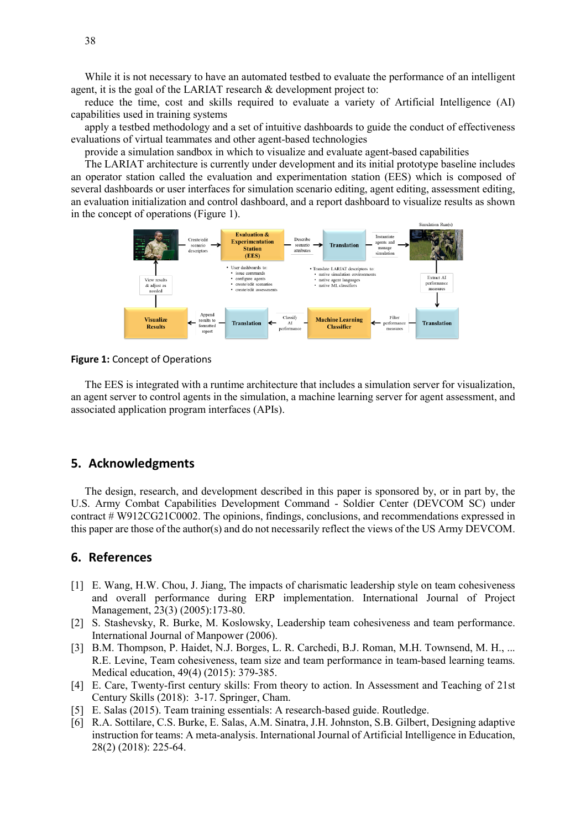While it is not necessary to have an automated testbed to evaluate the performance of an intelligent agent, it is the goal of the LARIAT research & development project to:

reduce the time, cost and skills required to evaluate a variety of Artificial Intelligence (AI) capabilities used in training systems

apply a testbed methodology and a set of intuitive dashboards to guide the conduct of effectiveness evaluations of virtual teammates and other agent-based technologies

provide a simulation sandbox in which to visualize and evaluate agent-based capabilities

The LARIAT architecture is currently under development and its initial prototype baseline includes an operator station called the evaluation and experimentation station (EES) which is composed of several dashboards or user interfaces for simulation scenario editing, agent editing, assessment editing, an evaluation initialization and control dashboard, and a report dashboard to visualize results as shown in the concept of operations (Figure 1).



**Figure 1:** Concept of Operations

The EES is integrated with a runtime architecture that includes a simulation server for visualization, an agent server to control agents in the simulation, a machine learning server for agent assessment, and associated application program interfaces (APIs).

#### **5. Acknowledgments**

The design, research, and development described in this paper is sponsored by, or in part by, the U.S. Army Combat Capabilities Development Command - Soldier Center (DEVCOM SC) under contract # W912CG21C0002. The opinions, findings, conclusions, and recommendations expressed in this paper are those of the author(s) and do not necessarily reflect the views of the US Army DEVCOM.

## **6. References**

- [1] E. Wang, H.W. Chou, J. Jiang, The impacts of charismatic leadership style on team cohesiveness and overall performance during ERP implementation. International Journal of Project Management, 23(3) (2005):173-80.
- [2] S. Stashevsky, R. Burke, M. Koslowsky, Leadership team cohesiveness and team performance. International Journal of Manpower (2006).
- [3] B.M. Thompson, P. Haidet, N.J. Borges, L. R. Carchedi, B.J. Roman, M.H. Townsend, M. H., ... R.E. Levine, Team cohesiveness, team size and team performance in team‐based learning teams. Medical education, 49(4) (2015): 379-385.
- [4] E. Care, Twenty-first century skills: From theory to action. In Assessment and Teaching of 21st Century Skills (2018): 3-17. Springer, Cham.
- [5] E. Salas (2015). Team training essentials: A research-based guide. Routledge.
- [6] R.A. Sottilare, C.S. Burke, E. Salas, A.M. Sinatra, J.H. Johnston, S.B. Gilbert, Designing adaptive instruction for teams: A meta-analysis. International Journal of Artificial Intelligence in Education, 28(2) (2018): 225-64.